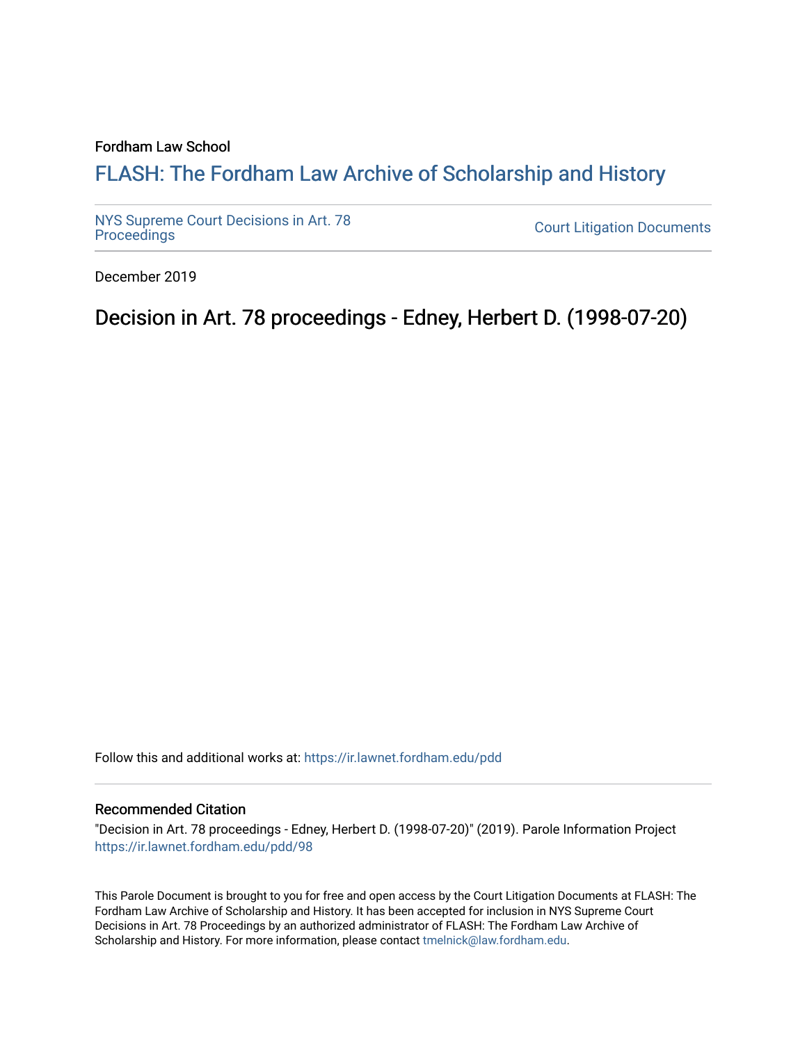## Fordham Law School

## FLASH: The For[dham Law Archive of Scholarship and Hist](https://ir.lawnet.fordham.edu/)ory

[NYS Supreme Court Decisions in Art. 78](https://ir.lawnet.fordham.edu/pdd)

**Court Litigation Documents** 

December 2019

Decision in Art. 78 proceedings - Edney, Herbert D. (1998-07-20)

Follow this and additional works at: [https://ir.lawnet.fordham.edu/pdd](https://ir.lawnet.fordham.edu/pdd?utm_source=ir.lawnet.fordham.edu%2Fpdd%2F98&utm_medium=PDF&utm_campaign=PDFCoverPages)

## Recommended Citation

"Decision in Art. 78 proceedings - Edney, Herbert D. (1998-07-20)" (2019). Parole Information Project [https://ir.lawnet.fordham.edu/pdd/98](https://ir.lawnet.fordham.edu/pdd/98?utm_source=ir.lawnet.fordham.edu%2Fpdd%2F98&utm_medium=PDF&utm_campaign=PDFCoverPages) 

This Parole Document is brought to you for free and open access by the Court Litigation Documents at FLASH: The Fordham Law Archive of Scholarship and History. It has been accepted for inclusion in NYS Supreme Court Decisions in Art. 78 Proceedings by an authorized administrator of FLASH: The Fordham Law Archive of Scholarship and History. For more information, please contact [tmelnick@law.fordham.edu](mailto:tmelnick@law.fordham.edu).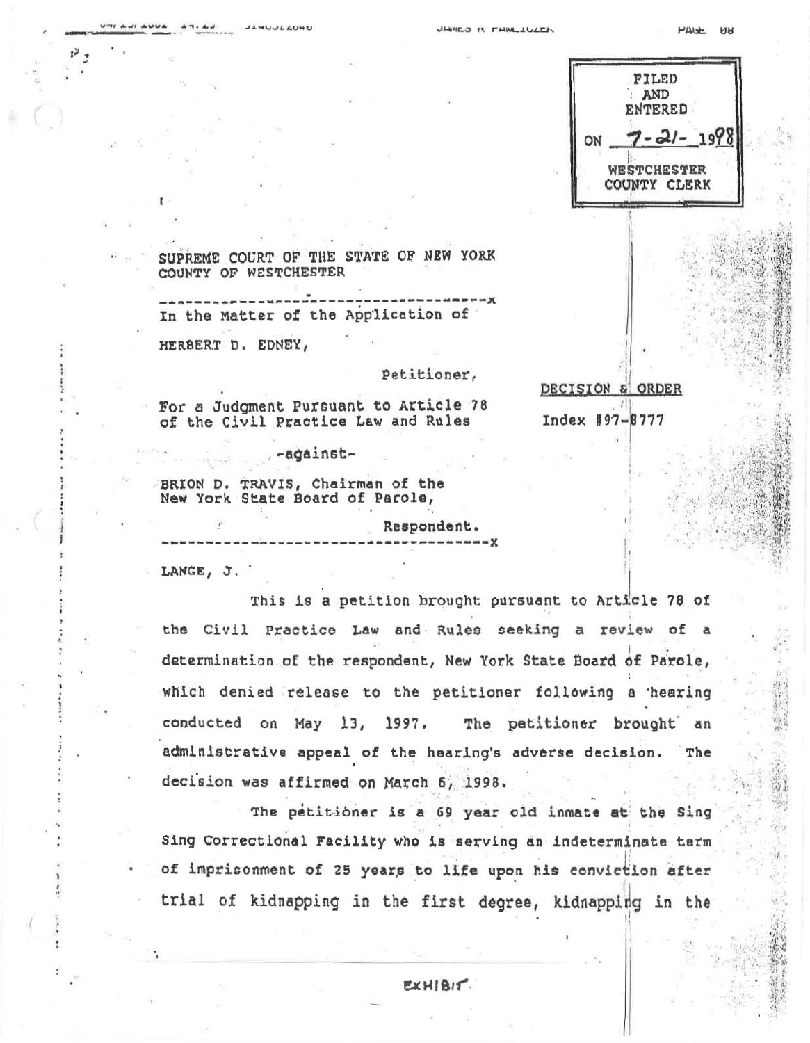|    | FILED<br><b>AND</b><br><b>ENTERED</b> |
|----|---------------------------------------|
| ON | 21<br>1971                            |
|    | WESTCHESTER<br>COUNTY CLERK           |

DECISION & ORDER

Index #97-8777

SUPREME COURT OF THE STATE OF NEW YORK COUNTY OF WESTCHESTER

In the Matter of the Application of

HERBERT D. EDNEY,

 $\overline{a} \overline{b} \overline{c} \overline{d} = \overline{b} \overline{b} \overline{d} \overline{b} \overline{d} \overline{d} \overline{d} \overline{d} \overline{d} \overline{d} \overline{d} \overline{d} \overline{d} \overline{d} \overline{d} \overline{d} \overline{d} \overline{d} \overline{d} \overline{d} \overline{d} \overline{d} \overline{d} \overline{d} \overline{d} \overline{d} \overline{d} \overline{d} \overline{d} \overline{d} \overline{d} \overline{d} \overline$ 

Petitioner,

For a Judgment Pursuant to Article 78 of the Civil Practice Law and Rules

-against

BRION D. TRAVIS, Chairman of the New York State Board of Parole,

Respondent.

LANGE, J.

This is a petition brought pursuant to Article 78 of the Civil Practice Law and Rules seeking a review of a determination of the respondent, New York State Board of Parole, which denied release to the petitioner following a hearing conducted on May 13, 1997. The patitioner brought an administrative appeal of the hearing's adverse decision. The decision was affirmed on March 6, 1998.

The petitioner is a 69 year old inmate at the Sing Sing Correctional Facility who is serving an indeterminate term of imprisonment of 25 years to life upon his conviction after trial of kidnapping in the first degree, kidnapping in the

EXHIBIT.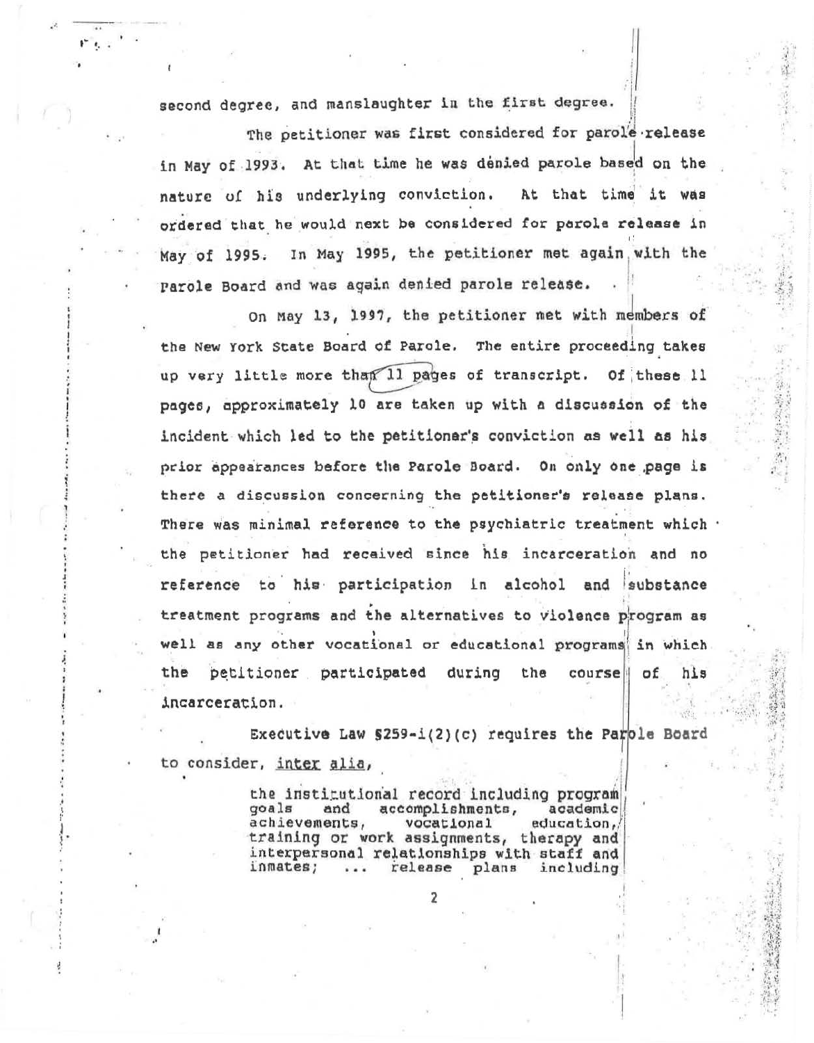second degree, and manslaughter in the first degree.

The petitioner was first considered for parole release in May of 1993. At that time he was denied parole based on the nature of his underlying conviction. At that time it was ordered that he would next be considered for parole release in May of 1995. In May 1995, the petitioner met again with the Parole Board and was again denied parole release.

On May 13, 1997, the petitioner met with members of the New York State Board of Parole. The entire proceeding takes up very little more than Il pages of transcript. Of these 11 pages, approximately 10 are taken up with a discussion of the incident which led to the petitioner's conviction as well as his prior appearances before the Parole Board. On only one page is there a discussion concerning the petitioner's release plans. There was minimal reference to the psychiatric treatment which . the petitioner had recaived since his incarceration and no reference to his participation in alcohol and substance treatment programs and the alternatives to violence program as well as any other vocational or educational programs in which the petitioner participated during the course of his incarceration.

Executive Law  $$259 - i(2)(c)$  requires the Parole Board to consider, inter alia,

> the institutional record including program accomplishments, goals and academic achievements, vocational education, training or work assignments, therapy and interpersonal relationships with staff and inmates; release plans including  $......$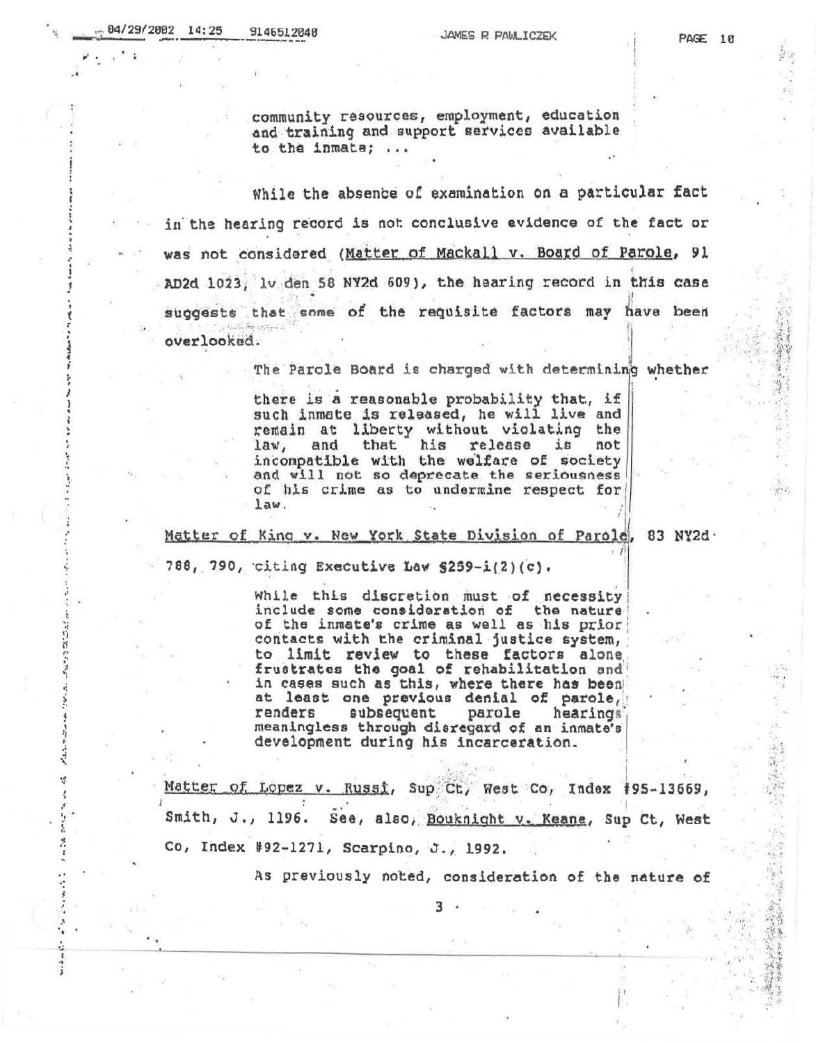community resources, employment, education and training and support services available to the inmate; ...

While the absence of examination on a particular fact in the hearing record is not conclusive evidence of the fact or was not considered (Matter of Mackall v. Board of Parole, 91 AD2d 1023, lv den 58 NY2d 609), the hearing record in this case suggests that some of the requisite factors may have been overlooked.

The Parole Board is charged with determining whether

there is a reasonable probability that, if such inmate is released, he will live and remain at liberty without violating the and that his release is not  $law,$ incompatible with the welfare of society and will not so deprecate the seriousness of his crime as to undermine respect for  $law.$ 

Matter of King v. New York State Division of Parole, 83 NY2d.

788, 790, citing Executive Law §259-i(2)(c).

While this discretion must of necessity include some consideration of the nature of the inmate's crime as well as his prior contacts with the criminal justice system, to limit review to these factors alone frustrates the goal of rehabilitation and in cases such as this, where there has been at least one previous denial of parole, renders subsequent parole hearings meaningless through disregard of an inmate's development during his incarceration.

Matter of Lopez v. Russi, Sup Ct, West Co, Index #95-13669, Smith, J., 1196. See, also, Bouknight v. Keane, Sup Ct, West Co, Index #92-1271, Scarpino, J., 1992.

As previously noted, consideration of the nature of

3